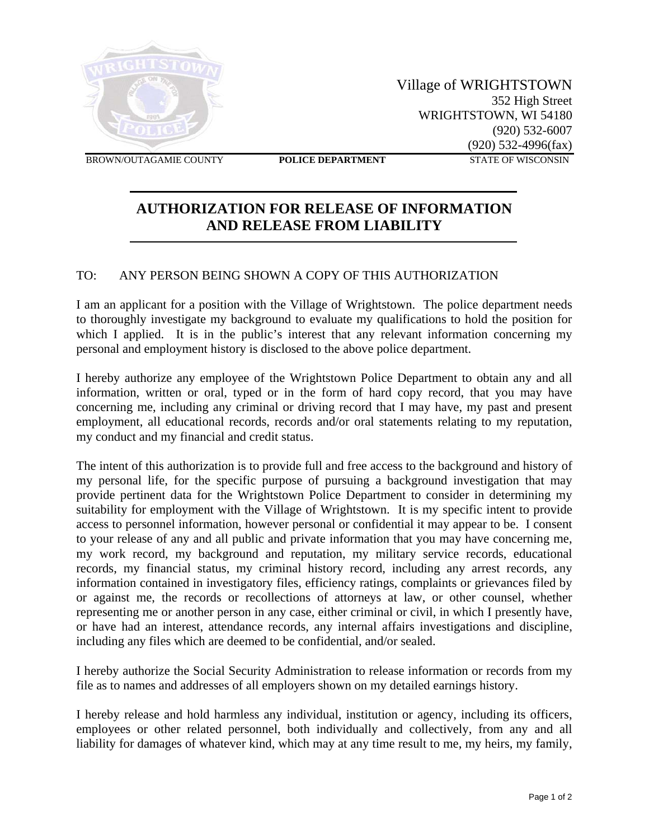

 Village of WRIGHTSTOWN 352 High Street WRIGHTSTOWN, WI 54180 (920) 532-6007 (920) 532-4996(fax)

**BROWN/OUTAGAMIE COUNTY POLICE DEPARTMENT STATE OF WISCONSIN** 

## **AUTHORIZATION FOR RELEASE OF INFORMATION AND RELEASE FROM LIABILITY**

## TO: ANY PERSON BEING SHOWN A COPY OF THIS AUTHORIZATION

I am an applicant for a position with the Village of Wrightstown. The police department needs to thoroughly investigate my background to evaluate my qualifications to hold the position for which I applied. It is in the public's interest that any relevant information concerning my personal and employment history is disclosed to the above police department.

I hereby authorize any employee of the Wrightstown Police Department to obtain any and all information, written or oral, typed or in the form of hard copy record, that you may have concerning me, including any criminal or driving record that I may have, my past and present employment, all educational records, records and/or oral statements relating to my reputation, my conduct and my financial and credit status.

The intent of this authorization is to provide full and free access to the background and history of my personal life, for the specific purpose of pursuing a background investigation that may provide pertinent data for the Wrightstown Police Department to consider in determining my suitability for employment with the Village of Wrightstown. It is my specific intent to provide access to personnel information, however personal or confidential it may appear to be. I consent to your release of any and all public and private information that you may have concerning me, my work record, my background and reputation, my military service records, educational records, my financial status, my criminal history record, including any arrest records, any information contained in investigatory files, efficiency ratings, complaints or grievances filed by or against me, the records or recollections of attorneys at law, or other counsel, whether representing me or another person in any case, either criminal or civil, in which I presently have, or have had an interest, attendance records, any internal affairs investigations and discipline, including any files which are deemed to be confidential, and/or sealed.

I hereby authorize the Social Security Administration to release information or records from my file as to names and addresses of all employers shown on my detailed earnings history.

I hereby release and hold harmless any individual, institution or agency, including its officers, employees or other related personnel, both individually and collectively, from any and all liability for damages of whatever kind, which may at any time result to me, my heirs, my family,